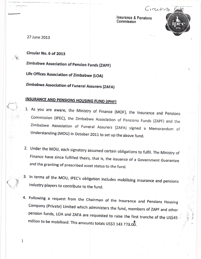Insurance & Pensions Commission

CITCULATIONS

27 June 2013

Circular No. 6 of 2013

Zimbabwe Association of Pension Funds (ZAPF)

Life Offices Association of Zimbabwe (LOA)

Zimbabwe Association of Funeral Assurers (ZAFA)

## **INSURANCE AND PENSIONS HOUSING FUND (IPHF)**

- 1. As you are aware, the Ministry of Finance (MOF), the Insurance and Pensions Commission (IPEC), the Zimbabwe Association of Pensions Funds (ZAPF) and the Zimbabwe Association of Funeral Assurers (ZAFA) signed a Memorandum of Understanding (MOU) in October 2011 to set up the above fund.
- 2. Under the MOU, each signatory assumed certain obligations to fulfil. The Ministry of Finance have since fulfilled theirs, that is, the issuance of a Government Guarantee and the granting of prescribed asset status to the fund.
- 3. In terms of the MOU, IPEC's obligation includes mobilising insurance and pensions industry players to contribute to the fund.
- 4. Following a request from the Chairman of the Insurance and Pensions Housing Company (Private) Limited which administers the fund, members of ZAPF and other pension funds, LOA and ZAFA are requested to raise the first tranche of the US\$45 million to be mobilised. This amounts totals US\$3 143 773.00.

1